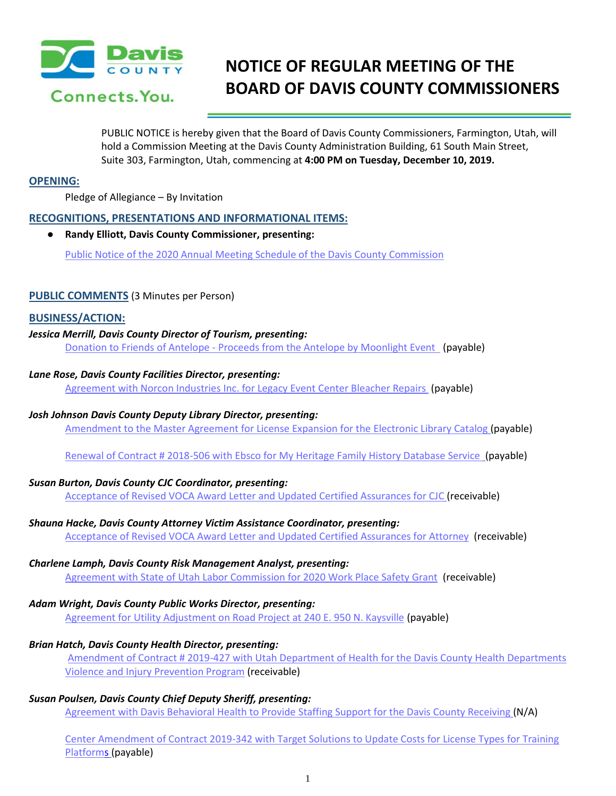

# **NOTICE OF REGULAR MEETING OF THE BOARD OF DAVIS COUNTY COMMISSIONERS**

PUBLIC NOTICE is hereby given that the Board of Davis County Commissioners, Farmington, Utah, will hold a Commission Meeting at the Davis County Administration Building, 61 South Main Street, Suite 303, Farmington, Utah, commencing at **4:00 PM on Tuesday, December 10, 2019.**

## **OPENING:**

Pledge of Allegiance – By Invitation

## **RECOGNITIONS, PRESENTATIONS AND INFORMATIONAL ITEMS:**

● **Randy Elliott, Davis County Commissioner, presenting:**

Public Notice of the 2020 Annual Meeting Schedule of the Davis County Commission

## **PUBLIC COMMENTS** (3 Minutes per Person)

## **BUSINESS/ACTION:**

# *Jessica Merrill, Davis County Director of Tourism, presenting:*

Donation to Friends of Antelope - Proceeds from the Antelope by Moonlight Event (payable)

## *Lane Rose, Davis County Facilities Director, presenting:*

Agreement with Norcon Industries Inc. for Legacy Event Center Bleacher Repairs (payable)

## *Josh Johnson Davis County Deputy Library Director, presenting:*

Amendment to the Master Agreement for License Expansion for the Electronic Library Catalog (payable)

Renewal of Contract # 2018-506 with Ebsco for My Heritage Family History Database Service (payable)

## *Susan Burton, Davis County CJC Coordinator, presenting:*

Acceptance of Revised VOCA Award Letter and Updated Certified Assurances for CJC (receivable)

## *Shauna Hacke, Davis County Attorney Victim Assistance Coordinator, presenting:*

Acceptance of Revised VOCA Award Letter and Updated Certified Assurances for Attorney (receivable)

## *Charlene Lamph, Davis County Risk Management Analyst, presenting:*

Agreement with State of Utah Labor Commission for 2020 Work Place Safety Grant (receivable)

## *Adam Wright, Davis County Public Works Director, presenting:*

Agreement for Utility Adjustment on Road Project at 240 E. 950 N. Kaysville (payable)

## *Brian Hatch, Davis County Health Director, presenting:*

Amendment of Contract # 2019-427 with Utah Department of Health for the Davis County Health Departments Violence and Injury Prevention Program (receivable)

## *Susan Poulsen, Davis County Chief Deputy Sheriff, presenting:*

Agreement with Davis Behavioral Health to Provide Staffing Support for the Davis County Receiving (N/A)

Center Amendment of Contract 2019-342 with Target Solutions to Update Costs for License Types for Training Platforms (payable)